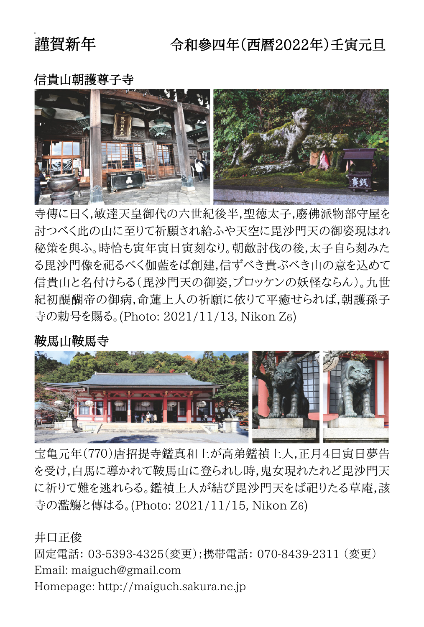# 謹智新年

# 令和參四年(西暦2022年)千寅元日

## 信貴山朝護尊子寺



寺傳に曰く,敏達天皇御代の六世紀後半,聖徳太子,廢佛派物部守屋を 討つべく此の山に至りて祈願され給ふや天空に毘沙門天の御姿現はれ 秘策を與ふ。時恰も寅年寅日寅刻なり。朝敵討伐の後,太子自ら刻みた る毘沙門像を祀るべく伽藍をば創建,信ずべき貴ぶべき山の意を込めて 信貴山と名付けらる(毘沙門天の御姿,ブロッケンの妖怪ならん)。九世 紀初醍醐帝の御病,命蓮上人の祈願に依りて平癒せられば,朝護孫子 寺の勅号を賜る。(Photo: 2021/11/13, Nikon Z6)

#### 鞍馬山鞍馬寺



 寺の濫觴と傳はる。(Photo: 2021/11/15, Nikon Z6) 宝亀元年(770)唐招提寺鑑真和上が高弟鑑禎上人,正月4日寅日夢告 を受け,白馬に導かれて鞍馬山に登られし時,鬼女現れたれど毘沙門天 に祈りて難を逃れらる。鑑禎上人が結び毘沙門天をば祀りたる草庵,該

 井口正俊 固定電話: 03-5393-4325(変更);携帯電話: 070-8439-2311 (変更) Email: maiguch@gmail.com Homepage: http://maiguch.sakura.ne.jp